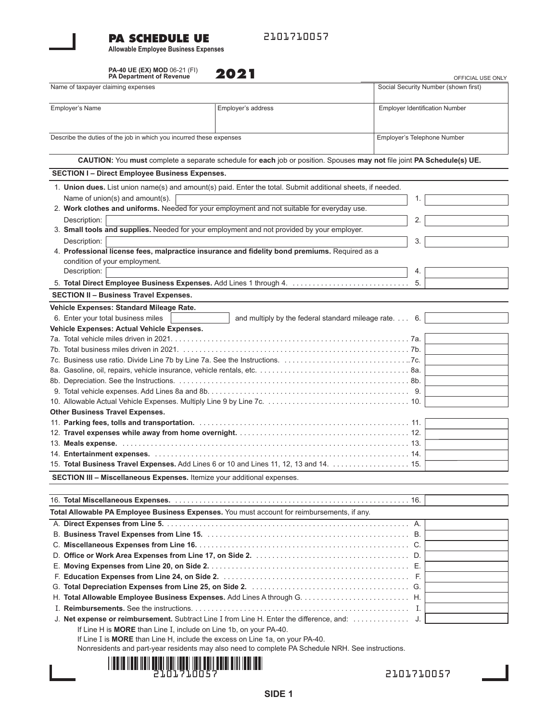# **PA SCHEDULE UE**

2101710057

**Allowable Employee Business Expenses**

|                                                                     | PA-40 UE (EX) MOD 06-21 (FI)<br>PA Department of Revenue                 | 2021                                                                                                                   |                                       | OFFICIAL USE ONLY |
|---------------------------------------------------------------------|--------------------------------------------------------------------------|------------------------------------------------------------------------------------------------------------------------|---------------------------------------|-------------------|
| Name of taxpayer claiming expenses                                  |                                                                          |                                                                                                                        | Social Security Number (shown first)  |                   |
| Employer's Name                                                     |                                                                          | Employer's address                                                                                                     | <b>Employer Identification Number</b> |                   |
| Describe the duties of the job in which you incurred these expenses | Employer's Telephone Number                                              |                                                                                                                        |                                       |                   |
|                                                                     |                                                                          | CAUTION: You must complete a separate schedule for each job or position. Spouses may not file joint PA Schedule(s) UE. |                                       |                   |
|                                                                     | <b>SECTION I- Direct Employee Business Expenses.</b>                     |                                                                                                                        |                                       |                   |
|                                                                     |                                                                          | 1. Union dues. List union name(s) and amount(s) paid. Enter the total. Submit additional sheets, if needed.            |                                       |                   |
|                                                                     | Name of union(s) and amount(s).                                          |                                                                                                                        | 1.                                    |                   |
|                                                                     |                                                                          | 2. Work clothes and uniforms. Needed for your employment and not suitable for everyday use.                            |                                       |                   |
| Description:                                                        |                                                                          |                                                                                                                        | 2.                                    |                   |
|                                                                     |                                                                          | 3. Small tools and supplies. Needed for your employment and not provided by your employer.                             |                                       |                   |
| Description:                                                        |                                                                          |                                                                                                                        | 3.                                    |                   |
|                                                                     |                                                                          | 4. Professional license fees, malpractice insurance and fidelity bond premiums. Required as a                          |                                       |                   |
|                                                                     | condition of your employment.                                            |                                                                                                                        |                                       |                   |
| Description:                                                        |                                                                          |                                                                                                                        | 4.                                    |                   |
|                                                                     |                                                                          |                                                                                                                        | 5.                                    |                   |
|                                                                     | <b>SECTION II - Business Travel Expenses.</b>                            |                                                                                                                        |                                       |                   |
|                                                                     | Vehicle Expenses: Standard Mileage Rate.                                 |                                                                                                                        |                                       |                   |
|                                                                     | 6. Enter your total business miles                                       | and multiply by the federal standard mileage rate. 6.                                                                  |                                       |                   |
|                                                                     | Vehicle Expenses: Actual Vehicle Expenses.                               |                                                                                                                        |                                       |                   |
|                                                                     |                                                                          |                                                                                                                        |                                       |                   |
|                                                                     |                                                                          |                                                                                                                        |                                       |                   |
|                                                                     |                                                                          |                                                                                                                        |                                       |                   |
|                                                                     |                                                                          |                                                                                                                        |                                       |                   |
|                                                                     |                                                                          |                                                                                                                        |                                       |                   |
|                                                                     |                                                                          |                                                                                                                        |                                       |                   |
|                                                                     |                                                                          |                                                                                                                        |                                       |                   |
|                                                                     | <b>Other Business Travel Expenses.</b>                                   |                                                                                                                        |                                       |                   |
|                                                                     |                                                                          |                                                                                                                        |                                       |                   |
|                                                                     |                                                                          |                                                                                                                        |                                       |                   |
|                                                                     |                                                                          |                                                                                                                        |                                       |                   |
|                                                                     |                                                                          |                                                                                                                        |                                       |                   |
|                                                                     |                                                                          | 15. Total Business Travel Expenses. Add Lines 6 or 10 and Lines 11, 12, 13 and 14. 15.                                 |                                       |                   |
|                                                                     | SECTION III - Miscellaneous Expenses. Itemize your additional expenses.  |                                                                                                                        |                                       |                   |
|                                                                     |                                                                          |                                                                                                                        |                                       |                   |
|                                                                     |                                                                          |                                                                                                                        |                                       |                   |
|                                                                     |                                                                          | Total Allowable PA Employee Business Expenses. You must account for reimbursements, if any.                            |                                       |                   |
|                                                                     |                                                                          |                                                                                                                        | А.                                    |                   |
|                                                                     |                                                                          |                                                                                                                        |                                       |                   |
|                                                                     |                                                                          |                                                                                                                        |                                       |                   |
|                                                                     |                                                                          |                                                                                                                        |                                       |                   |
|                                                                     |                                                                          |                                                                                                                        |                                       |                   |
|                                                                     |                                                                          |                                                                                                                        |                                       |                   |
|                                                                     |                                                                          |                                                                                                                        |                                       |                   |
|                                                                     |                                                                          |                                                                                                                        |                                       |                   |
|                                                                     |                                                                          |                                                                                                                        |                                       |                   |
|                                                                     | If Line H is <b>MORE</b> than Line I, include on Line 1b, on your PA-40. |                                                                                                                        |                                       |                   |
|                                                                     |                                                                          | If Line I is MORE than Line H, include the excess on Line 1a, on your PA-40.                                           |                                       |                   |
|                                                                     |                                                                          | Nonresidents and part-year residents may also need to complete PA Schedule NRH. See instructions.                      |                                       |                   |
|                                                                     |                                                                          |                                                                                                                        |                                       |                   |



2101710057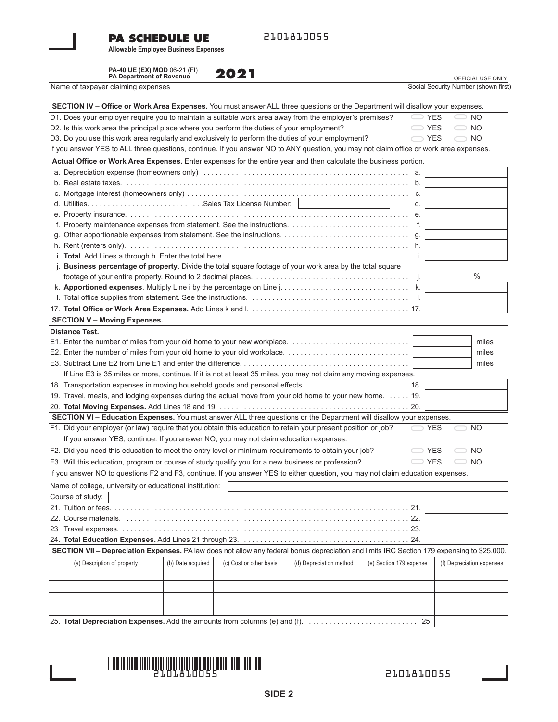### **PA SCHEDULE UE**

2101810055

**Allowable Employee Business Expenses**

**PA-40 UE (EX) MOD** 06-21 (FI)

**PA Department of Revenue** OFFICIAL USE ONLY Name of taxpayer claiming expenses **SECTION IV – Office or Work Area Expenses.** You must answer ALL three questions or the Department will disallow your expenses. D1. Does your employer require you to maintain a suitable work area away from the employer's premises?  $\Box$  YES  $\Box$  NO D2. Is this work area the principal place where you perform the duties of your employment?  $\Box$  YES  $\Box$  NO D3. Do you use this work area regularly and exclusively to perform the duties of your employment? YES ONO If you answer YES to ALL three questions, continue. If you answer NO to ANY question, you may not claim office or work area expenses. **Actual Office or Work Area Expenses.** Enter expenses for the entire year and then calculate the business portion. a. Depreciation expense (homeowners only) . . . . . . . . . . . . . . . . . . . . . . . . . . . . . . . . . . . . . . . . . . . . . . . . . . . a. b. Real estate taxes. . . . . . . . . . . . . . . . . . . . . . . . . . . . . . . . . . . . . . . . . . . . . . . . . . . . . . . . . . . . . . . . . . . . . . . b. c. Mortgage interest (homeowners only) . . . . . . . . . . . . . . . . . . . . . . . . . . . . . . . . . . . . . . . . . . . . . . . . . . . . . . . c. d. Utilities. . . . . . . . . . . . . . . . . . . . . . . . . . . . .Sales Tax License Number: d. e. Property insurance. . . . . . . . . . . . . . . . . . . . . . . . . . . . . . . . . . . . . . . . . . . . . . . . . . . . . . . . . . . . . . . . . . . . . . e. f. Property maintenance expenses from statement. See the instructions. . . . . . . . . . . . . . . . . . . . . . . . . . . . . . f. g. Other apportionable expenses from statement. See the instructions. . . . . . . . . . . . . . . . . . . . . . . . . . . . . . . . g. h. Rent (renters only). . . . . . . . . . . . . . . . . . . . . . . . . . . . . . . . . . . . . . . . . . . . . . . . . . . . . . . . . . . . . . . . . . . . . . h. i. **Total**. Add Lines a through h. Enter the total here. . . . . . . . . . . . . . . . . . . . . . . . . . . . . . . . . . . . . . . . . . . . . . i. j. **Business percentage of property**. Divide the total square footage of your work area by the total square footage of your entire property. Round to 2 decimal places. . . . . . . . . . . . . . . . . . . . . . . . . . . . . . . . . . . . . . . j. k. **Apportioned expenses**. Multiply Line i by the percentage on Line j. . . . . . . . . . . . . . . . . . . . . . . . . . . . . . . . k. l. Total office supplies from statement. See the instructions. . . . . . . . . . . . . . . . . . . . . . . . . . . . . . . . . . . . . . . . l. 17. **Total Office or Work Area Expenses.** Add Lines k and l. . . . . . . . . . . . . . . . . . . . . . . . . . . . . . . . . . . . . . . . 17. **SECTION V – Moving Expenses. Distance Test.** E1. Enter the number of miles from your old home to your new workplace. . . . . . . . . . . . . . . . . . . . . . . . . . . . . . miles E2. Enter the number of miles from your old home to your old workplace. . . . . . . . . . . . . . . . . . . . . . . . . . . . . . . miles E3. Subtract Line E2 from Line E1 and enter the difference. . . . . . . . . . . . . . . . . . . . . . . . . . . . . . . . . . . . . . . . . . miles If Line E3 is 35 miles or more, continue. If it is not at least 35 miles, you may not claim any moving expenses. 18. Transportation expenses in moving household goods and personal effects. . . . . . . . . . . . . . . . . . . . . . . . . . 18. 19. Travel, meals, and lodging expenses during the actual move from your old home to your new home. . . . . . 19. 20. **Total Moving Expenses.** Add Lines 18 and 19. . . . . . . . . . . . . . . . . . . . . . . . . . . . . . . . . . . . . . . . . . . . . . . . 20. **SECTION VI – Education Expenses.** You must answer ALL three questions or the Department will disallow your expenses. F1. Did your employer (or law) require that you obtain this education to retain your present position or job?  $\leq$  YES  $\leq$  NO If you answer YES, continue. If you answer NO, you may not claim education expenses. F2. Did you need this education to meet the entry level or minimum requirements to obtain your job?  $\Box$  YES  $\Box$  NO F3. Will this education, program or course of study qualify you for a new business or profession? YES ONO If you answer NO to questions F2 and F3, continue. If you answer YES to either question, you may not claim education expenses. Name of college, university or educational institution: Course of study: 21. Tuition or fees. . . . . . . . . . . . . . . . . . . . . . . . . . . . . . . . . . . . . . . . . . . . . . . . . . . . . . . . . . . . . . . . . . . . . . . . . . 21. 22. Course materials. . . . . . . . . . . . . . . . . . . . . . . . . . . . . . . . . . . . . . . . . . . . . . . . . . . . . . . . . . . . . . . . . . . . . . . 22. 23 Travel expenses. . . . . . . . . . . . . . . . . . . . . . . . . . . . . . . . . . . . . . . . . . . . . . . . . . . . . . . . . . . . . . . . . . . . . . . . 23. 24. **Total Education Expenses.** Add Lines 21 through 23. . . . . . . . . . . . . . . . . . . . . . . . . . . . . . . . . . . . . . . . . . 24. **SECTION VII – Depreciation Expenses.** PA law does not allow any federal bonus depreciation and limits IRC Section 179 expensing to \$25,000. 25. **Total Depreciation Expenses.** Add the amounts from columns (e) and (f). . . . . . . . . . . . . . . . . . . . . . . . . . . . 25. (a) Description of property (b) Date acquired (c) Cost or other basis (d) Depreciation method (e) Section 179 expense (f) Depreciation expenses Social Security Number (shown first) % **2021**



2101810055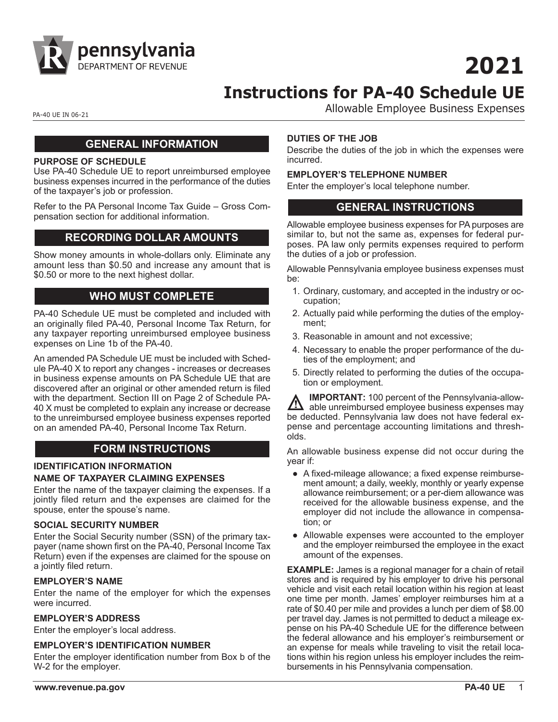

**2021**

# **Instructions for PA-40 Schedule UE**

PA-40 UE IN 06-21 **PA-40 UE IN 06-21** 

#### **GENERAL INFORMATION**

#### **PURPOSE OF SCHEDULE**

Use PA-40 Schedule UE to report unreimbursed employee business expenses incurred in the performance of the duties of the taxpayer's job or profession.

Refer to the PA Personal Income Tax Guide – Gross Compensation section for additional information.

#### **RECORDING DOLLAR AMOUNTS**

Show money amounts in whole-dollars only. Eliminate any amount less than \$0.50 and increase any amount that is \$0.50 or more to the next highest dollar.

# **WHO MUST COMPLETE**

PA-40 Schedule UE must be completed and included with an originally filed PA-40, Personal Income Tax Return, for any taxpayer reporting unreimbursed employee business expenses on Line 1b of the PA-40.

An amended PA Schedule UE must be included with Schedule PA-40 X to report any changes - increases or decreases in business expense amounts on PA Schedule UE that are discovered after an original or other amended return is filed with the department. Section III on Page 2 of Schedule PA-40 X must be completed to explain any increase or decrease to the unreimbursed employee business expenses reported on an amended PA-40, Personal Income Tax Return.

# **FORM INSTRUCTIONS**

# **IDENTIFICATION INFORMATION NAME OF TAXPAYER CLAIMING EXPENSES**

Enter the name of the taxpayer claiming the expenses. If a jointly filed return and the expenses are claimed for the spouse, enter the spouse's name.

#### **SOCIAL SECURITY NUMBER**

Enter the Social Security number (SSN) of the primary taxpayer (name shown first on the PA-40, Personal Income Tax Return) even if the expenses are claimed for the spouse on a jointly filed return.

#### **EMPLOYER'S NAME**

Enter the name of the employer for which the expenses were incurred.

#### **EMPLOYER'S ADDRESS**

Enter the employer's local address.

#### **EMPLOYER'S IDENTIFICATION NUMBER**

Enter the employer identification number from Box b of the W-2 for the employer.

#### **DUTIES OF THE JOB**

Describe the duties of the job in which the expenses were incurred.

#### **EMPLOYER'S TELEPHONE NUMBER**

Enter the employer's local telephone number.

### **GENERAL INSTRUCTIONS**

Allowable employee business expenses for PA purposes are similar to, but not the same as, expenses for federal purposes. PA law only permits expenses required to perform the duties of a job or profession.

Allowable Pennsylvania employee business expenses must be:

- 1. Ordinary, customary, and accepted in the industry or occupation;
- 2. Actually paid while performing the duties of the employment;
- 3. Reasonable in amount and not excessive;
- 4. Necessary to enable the proper performance of the duties of the employment; and
- 5. Directly related to performing the duties of the occupation or employment.

**IMPORTANT:** 100 percent of the Pennsylvania-allow-A able unreimbursed employee business expenses may be deducted. Pennsylvania law does not have federal expense and percentage accounting limitations and thresholds.

An allowable business expense did not occur during the year if:

- A fixed-mileage allowance; a fixed expense reimbursement amount; a daily, weekly, monthly or yearly expense allowance reimbursement; or a per-diem allowance was received for the allowable business expense, and the employer did not include the allowance in compensation; or
- Allowable expenses were accounted to the employer and the employer reimbursed the employee in the exact amount of the expenses.

**EXAMPLE:** James is a regional manager for a chain of retail stores and is required by his employer to drive his personal vehicle and visit each retail location within his region at least one time per month. James' employer reimburses him at a rate of \$0.40 per mile and provides a lunch per diem of \$8.00 per travel day. James is not permitted to deduct a mileage expense on his PA-40 Schedule UE for the difference between the federal allowance and his employer's reimbursement or an expense for meals while traveling to visit the retail locations within his region unless his employer includes the reimbursements in his Pennsylvania compensation.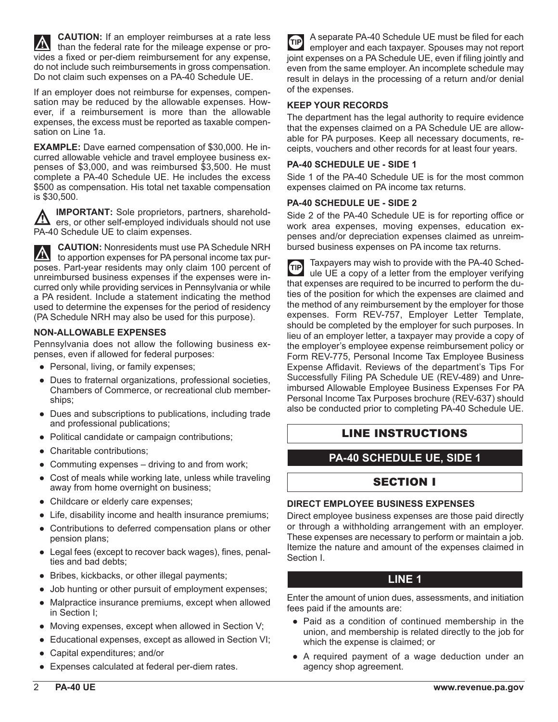**CAUTION:** If an employer reimburses at a rate less than the federal rate for the mileage expense or provides a fixed or per-diem reimbursement for any expense, do not include such reimbursements in gross compensation. Do not claim such expenses on a PA-40 Schedule UE.

If an employer does not reimburse for expenses, compensation may be reduced by the allowable expenses. However, if a reimbursement is more than the allowable expenses, the excess must be reported as taxable compensation on Line 1a.

**EXAMPLE:** Dave earned compensation of \$30,000. He incurred allowable vehicle and travel employee business expenses of \$3,000, and was reimbursed \$3,500. He must complete a PA-40 Schedule UE. He includes the excess \$500 as compensation. His total net taxable compensation is \$30,500.

**IMPORTANT:** Sole proprietors, partners, shareholders, or other self-employed individuals should not use PA-40 Schedule UE to claim expenses.

**CAUTION:** Nonresidents must use PA Schedule NRH  $\mathbf{N}$ to apportion expenses for PA personal income tax purposes. Part-year residents may only claim 100 percent of unreimbursed business expenses if the expenses were incurred only while providing services in Pennsylvania or while a PA resident. Include a statement indicating the method used to determine the expenses for the period of residency (PA Schedule NRH may also be used for this purpose).

#### **NON-ALLOWABLE EXPENSES**

Pennsylvania does not allow the following business expenses, even if allowed for federal purposes:

- Personal, living, or family expenses;
- Dues to fraternal organizations, professional societies, Chambers of Commerce, or recreational club memberships;
- Dues and subscriptions to publications, including trade and professional publications;
- Political candidate or campaign contributions;
- Charitable contributions;
- Commuting expenses driving to and from work;
- Cost of meals while working late, unless while traveling away from home overnight on business;
- Childcare or elderly care expenses;
- Life, disability income and health insurance premiums;
- Contributions to deferred compensation plans or other pension plans;
- Legal fees (except to recover back wages), fines, penalties and bad debts;
- Bribes, kickbacks, or other illegal payments;
- Job hunting or other pursuit of employment expenses;
- Malpractice insurance premiums, except when allowed in Section I;
- Moving expenses, except when allowed in Section V;
- Educational expenses, except as allowed in Section VI;
- Capital expenditures; and/or
- Expenses calculated at federal per-diem rates.

A separate PA-40 Schedule UE must be filed for each **GIP** employer and each taxpayer. Spouses may not report joint expenses on a PA Schedule UE, even if filing jointly and even from the same employer. An incomplete schedule may result in delays in the processing of a return and/or denial of the expenses.

#### **KEEP YOUR RECORDS**

The department has the legal authority to require evidence that the expenses claimed on a PA Schedule UE are allowable for PA purposes. Keep all necessary documents, receipts, vouchers and other records for at least four years.

#### **PA-40 SCHEDULE UE - SIDE 1**

Side 1 of the PA-40 Schedule UE is for the most common expenses claimed on PA income tax returns.

#### **PA-40 SCHEDULE UE - SIDE 2**

Side 2 of the PA-40 Schedule UE is for reporting office or work area expenses, moving expenses, education expenses and/or depreciation expenses claimed as unreimbursed business expenses on PA income tax returns.

Taxpayers may wish to provide with the PA-40 Sched- $\sqrt{q}$ ule UE a copy of a letter from the employer verifying that expenses are required to be incurred to perform the duties of the position for which the expenses are claimed and the method of any reimbursement by the employer for those expenses. Form REV-757, Employer Letter Template, should be completed by the employer for such purposes. In lieu of an employer letter, a taxpayer may provide a copy of the employer's employee expense reimbursement policy or Form REV-775, Personal Income Tax Employee Business Expense Affidavit. Reviews of the department's Tips For Successfully Filing PA Schedule UE (REV-489) and Unreimbursed Allowable Employee Business Expenses For PA Personal Income Tax Purposes brochure (REV-637) should also be conducted prior to completing PA-40 Schedule UE.

#### LINE INSTRUCTIONS

# **PA-40 SCHEDULE UE, SIDE 1**

#### SECTION I

#### **DIRECT EMPLOYEE BUSINESS EXPENSES**

Direct employee business expenses are those paid directly or through a withholding arrangement with an employer. These expenses are necessary to perform or maintain a job. Itemize the nature and amount of the expenses claimed in Section I.

#### **LINE 1**

Enter the amount of union dues, assessments, and initiation fees paid if the amounts are:

- Paid as a condition of continued membership in the union, and membership is related directly to the job for which the expense is claimed; or
- A required payment of a wage deduction under an agency shop agreement.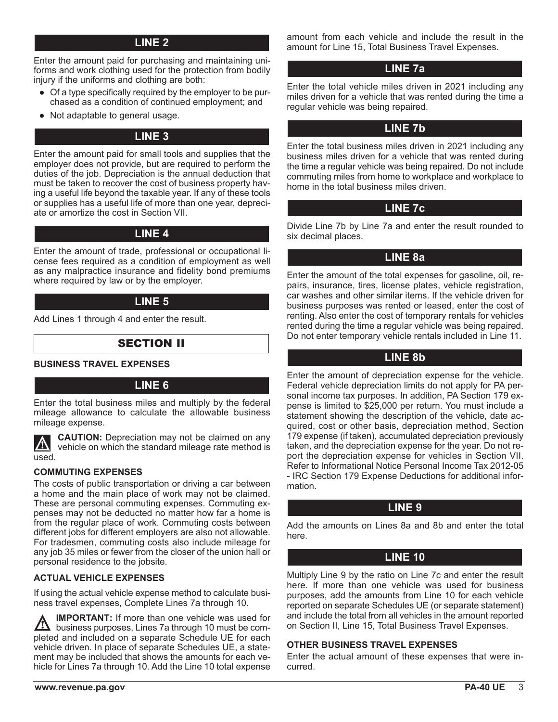# **LINE 2**

Enter the amount paid for purchasing and maintaining uniforms and work clothing used for the protection from bodily injury if the uniforms and clothing are both:

- Of a type specifically required by the employer to be purchased as a condition of continued employment; and
- Not adaptable to general usage.

# **LINE 3**

Enter the amount paid for small tools and supplies that the employer does not provide, but are required to perform the duties of the job. Depreciation is the annual deduction that must be taken to recover the cost of business property having a useful life beyond the taxable year. If any of these tools or supplies has a useful life of more than one year, depreciate or amortize the cost in Section VII.

# **LINE 4**

Enter the amount of trade, professional or occupational license fees required as a condition of employment as well as any malpractice insurance and fidelity bond premiums where required by law or by the employer.

### **LINE 5**

Add Lines 1 through 4 and enter the result.

# SECTION II

**BUSINESS TRAVEL EXPENSES**

#### **LINE 6**

Enter the total business miles and multiply by the federal mileage allowance to calculate the allowable business mileage expense.

**CAUTION:** Depreciation may not be claimed on any <u>/\</u> vehicle on which the standard mileage rate method is used.

#### **COMMUTING EXPENSES**

The costs of public transportation or driving a car between a home and the main place of work may not be claimed. These are personal commuting expenses. Commuting expenses may not be deducted no matter how far a home is from the regular place of work. Commuting costs between different jobs for different employers are also not allowable. For tradesmen, commuting costs also include mileage for any job 35 miles or fewer from the closer of the union hall or personal residence to the jobsite.

#### **ACTUAL VEHICLE EXPENSES**

If using the actual vehicle expense method to calculate business travel expenses, Complete Lines 7a through 10.

**IMPORTANT:** If more than one vehicle was used for  $\angle I\angle$  business purposes, Lines 7a through 10 must be completed and included on a separate Schedule UE for each vehicle driven. In place of separate Schedules UE, a statement may be included that shows the amounts for each vehicle for Lines 7a through 10. Add the Line 10 total expense

amount from each vehicle and include the result in the amount for Line 15, Total Business Travel Expenses.

### **LINE 7a**

Enter the total vehicle miles driven in 2021 including any miles driven for a vehicle that was rented during the time a regular vehicle was being repaired.

### **LINE 7b**

Enter the total business miles driven in 2021 including any business miles driven for a vehicle that was rented during the time a regular vehicle was being repaired. Do not include commuting miles from home to workplace and workplace to home in the total business miles driven.

### **LINE 7c**

Divide Line 7b by Line 7a and enter the result rounded to six decimal places.

### **LINE 8a**

Enter the amount of the total expenses for gasoline, oil, repairs, insurance, tires, license plates, vehicle registration, car washes and other similar items. If the vehicle driven for business purposes was rented or leased, enter the cost of renting. Also enter the cost of temporary rentals for vehicles rented during the time a regular vehicle was being repaired. Do not enter temporary vehicle rentals included in Line 11.

### **LINE 8b**

Enter the amount of depreciation expense for the vehicle. Federal vehicle depreciation limits do not apply for PA personal income tax purposes. In addition, PA Section 179 expense is limited to \$25,000 per return. You must include a statement showing the description of the vehicle, date acquired, cost or other basis, depreciation method, Section 179 expense (if taken), accumulated depreciation previously taken, and the depreciation expense for the year. Do not report the depreciation expense for vehicles in Section VII. Refer to Informational Notice Personal Income Tax 2012-05 - IRC Section 179 Expense Deductions for additional information.

#### **LINE 9**

Add the amounts on Lines 8a and 8b and enter the total here.

# **LINE 10**

Multiply Line 9 by the ratio on Line 7c and enter the result here. If more than one vehicle was used for business purposes, add the amounts from Line 10 for each vehicle reported on separate Schedules UE (or separate statement) and include the total from all vehicles in the amount reported on Section II, Line 15, Total Business Travel Expenses.

#### **OTHER BUSINESS TRAVEL EXPENSES**

Enter the actual amount of these expenses that were incurred.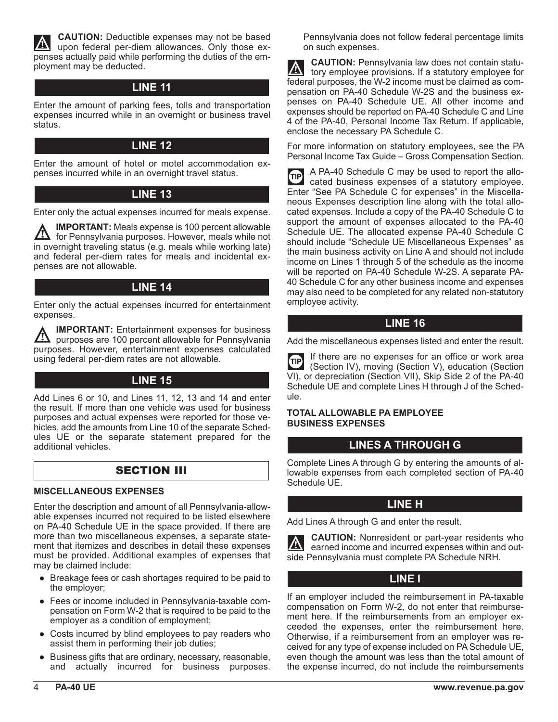**CAUTION:** Deductible expenses may not be based upon federal per-diem allowances. Only those expenses actually paid while performing the duties of the employment may be deducted.

# **LINE 11**

Enter the amount of parking fees, tolls and transportation expenses incurred while in an overnight or business travel status.

# **LINE 12**

Enter the amount of hotel or motel accommodation expenses incurred while in an overnight travel status.

# **LINE 13**

Enter only the actual expenses incurred for meals expense.

**IMPORTANT:** Meals expense is 100 percent allowable <u>/!\</u> for Pennsylvania purposes. However, meals while not in overnight traveling status (e.g. meals while working late) and federal per-diem rates for meals and incidental expenses are not allowable.

# **LINE 14**

Enter only the actual expenses incurred for entertainment expenses.

**IMPORTANT:** Entertainment expenses for business  $\mathbf{I}$  purposes are 100 percent allowable for Pennsylvania purposes. However, entertainment expenses calculated using federal per-diem rates are not allowable.

# **LINE 15**

Add Lines 6 or 10, and Lines 11, 12, 13 and 14 and enter the result. If more than one vehicle was used for business purposes and actual expenses were reported for those vehicles, add the amounts from Line 10 of the separate Schedules UE or the separate statement prepared for the additional vehicles.

# SECTION III

#### **MISCELLANEOUS EXPENSES**

Enter the description and amount of all Pennsylvania-allowable expenses incurred not required to be listed elsewhere on PA-40 Schedule UE in the space provided. If there are more than two miscellaneous expenses, a separate statement that itemizes and describes in detail these expenses must be provided. Additional examples of expenses that may be claimed include:

- Breakage fees or cash shortages required to be paid to the employer;
- Fees or income included in Pennsylvania-taxable compensation on Form W-2 that is required to be paid to the employer as a condition of employment;
- Costs incurred by blind employees to pay readers who assist them in performing their job duties;
- Business gifts that are ordinary, necessary, reasonable, and actually incurred for business purposes.

Pennsylvania does not follow federal percentage limits on such expenses.

**CAUTION:** Pennsylvania law does not contain statu- $|\mathbb{A}|$ tory employee provisions. If a statutory employee for federal purposes, the W-2 income must be claimed as compensation on PA-40 Schedule W-2S and the business expenses on PA-40 Schedule UE. All other income and expenses should be reported on PA-40 Schedule C and Line 4 of the PA-40, Personal Income Tax Return. If applicable, enclose the necessary PA Schedule C.

For more information on statutory employees, see the PA Personal Income Tax Guide – Gross Compensation Section.

A PA-40 Schedule C may be used to report the allo- $(TIP)$ cated business expenses of a statutory employee. Enter "See PA Schedule C for expenses" in the Miscellaneous Expenses description line along with the total allocated expenses. Include a copy of the PA-40 Schedule C to support the amount of expenses allocated to the PA-40 Schedule UE. The allocated expense PA-40 Schedule C should include "Schedule UE Miscellaneous Expenses" as the main business activity on Line A and should not include income on Lines 1 through 5 of the schedule as the income will be reported on PA-40 Schedule W-2S. A separate PA-40 Schedule C for any other business income and expenses may also need to be completed for any related non-statutory employee activity.

# **LINE 16**

Add the miscellaneous expenses listed and enter the result.

If there are no expenses for an office or work area **GIP** (Section IV), moving (Section V), education (Section VI), or depreciation (Section VII), Skip Side 2 of the PA-40 Schedule UE and complete Lines H through J of the Schedule.

#### **TOTAL ALLOWABLE PA EMPLOYEE BUSINESS EXPENSES**

# **LINES A THROUGH G**

Complete Lines A through G by entering the amounts of allowable expenses from each completed section of PA-40 Schedule UE.

# **LINE H**

Add Lines A through G and enter the result.

**CAUTION:** Nonresident or part-year residents who earned income and incurred expenses within and outside Pennsylvania must complete PA Schedule NRH.

# **LINE I**

If an employer included the reimbursement in PA-taxable compensation on Form W-2, do not enter that reimbursement here. If the reimbursements from an employer exceeded the expenses, enter the reimbursement here. Otherwise, if a reimbursement from an employer was received for any type of expense included on PA Schedule UE, even though the amount was less than the total amount of the expense incurred, do not include the reimbursements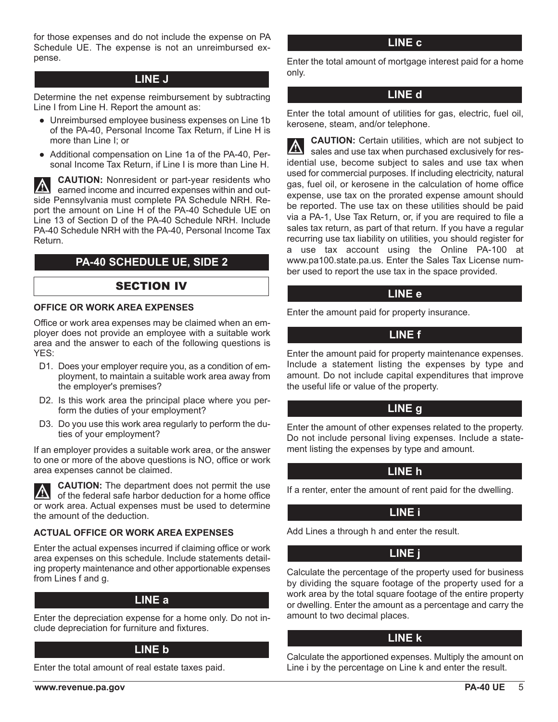for those expenses and do not include the expense on PA Schedule UE. The expense is not an unreimbursed expense.

### **LINE J**

Determine the net expense reimbursement by subtracting Line I from Line H. Report the amount as:

- Unreimbursed employee business expenses on Line 1b of the PA-40, Personal Income Tax Return, if Line H is more than Line I; or
- Additional compensation on Line 1a of the PA-40, Personal Income Tax Return, if Line I is more than Line H.

**CAUTION:** Nonresident or part-year residents who  $\vert \nabla$ earned income and incurred expenses within and outside Pennsylvania must complete PA Schedule NRH. Report the amount on Line H of the PA-40 Schedule UE on Line 13 of Section D of the PA-40 Schedule NRH. Include PA-40 Schedule NRH with the PA-40, Personal Income Tax Return.

# **PA-40 SCHEDULE UE, SIDE 2**

#### SECTION IV

#### **OFFICE OR WORK AREA EXPENSES**

Office or work area expenses may be claimed when an employer does not provide an employee with a suitable work area and the answer to each of the following questions is YES:

- D1. Does your employer require you, as a condition of employment, to maintain a suitable work area away from the employer's premises?
- D2. Is this work area the principal place where you perform the duties of your employment?
- D3. Do you use this work area regularly to perform the duties of your employment?

If an employer provides a suitable work area, or the answer to one or more of the above questions is NO, office or work area expenses cannot be claimed.

**CAUTION:** The department does not permit the use of the federal safe harbor deduction for a home office or work area. Actual expenses must be used to determine the amount of the deduction.

#### **ACTUAL OFFICE OR WORK AREA EXPENSES**

Enter the actual expenses incurred if claiming office or work area expenses on this schedule. Include statements detailing property maintenance and other apportionable expenses from Lines f and g.

#### **LINE a**

Enter the depreciation expense for a home only. Do not include depreciation for furniture and fixtures.

# **LINE b**

Enter the total amount of real estate taxes paid.

Enter the total amount of mortgage interest paid for a home only.

### **LINE d**

Enter the total amount of utilities for gas, electric, fuel oil, kerosene, steam, and/or telephone.

**CAUTION:** Certain utilities, which are not subject to Sales and use tax when purchased exclusively for residential use, become subject to sales and use tax when used for commercial purposes. If including electricity, natural gas, fuel oil, or kerosene in the calculation of home office expense, use tax on the prorated expense amount should be reported. The use tax on these utilities should be paid via a PA-1, Use Tax Return, or, if you are required to file a sales tax return, as part of that return. If you have a regular recurring use tax liability on utilities, you should register for a use tax account using the Online PA-100 at www.pa100.state.pa.us. Enter the Sales Tax License number used to report the use tax in the space provided.

### **LINE e**

Enter the amount paid for property insurance.

# **LINE f**

Enter the amount paid for property maintenance expenses. Include a statement listing the expenses by type and amount. Do not include capital expenditures that improve the useful life or value of the property.

#### **LINE g**

Enter the amount of other expenses related to the property. Do not include personal living expenses. Include a statement listing the expenses by type and amount.

# **LINE h**

If a renter, enter the amount of rent paid for the dwelling.

# **LINE i**

Add Lines a through h and enter the result.

# **LINE j**

Calculate the percentage of the property used for business by dividing the square footage of the property used for a work area by the total square footage of the entire property or dwelling. Enter the amount as a percentage and carry the amount to two decimal places.

#### **LINE k**

Calculate the apportioned expenses. Multiply the amount on Line i by the percentage on Line k and enter the result.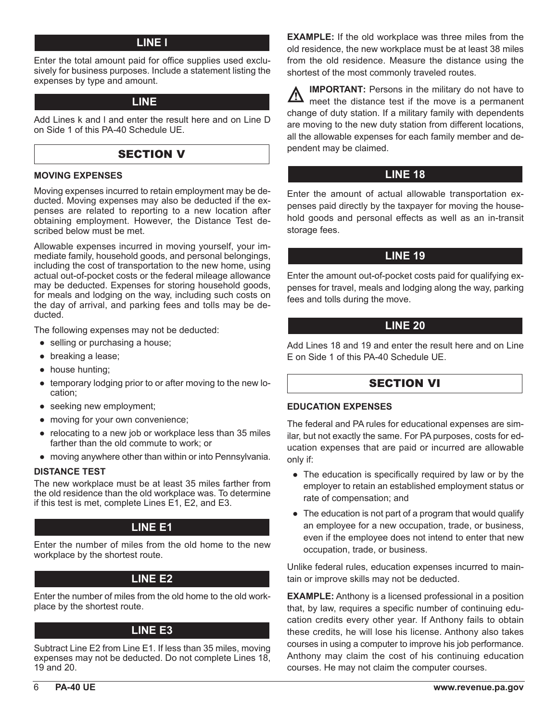# **LINE l**

Enter the total amount paid for office supplies used exclusively for business purposes. Include a statement listing the expenses by type and amount.

#### **LINE 17**

Add Lines k and l and enter the result here and on Line D on Side 1 of this PA-40 Schedule UE.

# SECTION V

#### **MOVING EXPENSES**

Moving expenses incurred to retain employment may be deducted. Moving expenses may also be deducted if the expenses are related to reporting to a new location after obtaining employment. However, the Distance Test described below must be met.

Allowable expenses incurred in moving yourself, your immediate family, household goods, and personal belongings, including the cost of transportation to the new home, using actual out-of-pocket costs or the federal mileage allowance may be deducted. Expenses for storing household goods, for meals and lodging on the way, including such costs on the day of arrival, and parking fees and tolls may be deducted.

The following expenses may not be deducted:

- selling or purchasing a house;
- breaking a lease;
- house hunting;
- temporary lodging prior to or after moving to the new location;
- seeking new employment;
- moving for your own convenience;
- relocating to a new job or workplace less than 35 miles farther than the old commute to work; or
- moving anywhere other than within or into Pennsylvania.

#### **DISTANCE TEST**

The new workplace must be at least 35 miles farther from the old residence than the old workplace was. To determine if this test is met, complete Lines E1, E2, and E3.

# **LINE E1**

Enter the number of miles from the old home to the new workplace by the shortest route.

# **LINE E2**

Enter the number of miles from the old home to the old workplace by the shortest route.

# **LINE E3**

Subtract Line E2 from Line E1. If less than 35 miles, moving expenses may not be deducted. Do not complete Lines 18, 19 and 20.

**EXAMPLE:** If the old workplace was three miles from the old residence, the new workplace must be at least 38 miles from the old residence. Measure the distance using the shortest of the most commonly traveled routes.

**IMPORTANT:** Persons in the military do not have to  $\sqrt{N}$ meet the distance test if the move is a permanent change of duty station. If a military family with dependents are moving to the new duty station from different locations, all the allowable expenses for each family member and dependent may be claimed.

# **LINE 18**

Enter the amount of actual allowable transportation expenses paid directly by the taxpayer for moving the household goods and personal effects as well as an in-transit storage fees.

# **LINE 19**

Enter the amount out-of-pocket costs paid for qualifying expenses for travel, meals and lodging along the way, parking fees and tolls during the move.

# **LINE 20**

Add Lines 18 and 19 and enter the result here and on Line E on Side 1 of this PA-40 Schedule UE.

# SECTION VI

#### **EDUCATION EXPENSES**

The federal and PA rules for educational expenses are similar, but not exactly the same. For PA purposes, costs for education expenses that are paid or incurred are allowable only if:

- The education is specifically required by law or by the employer to retain an established employment status or rate of compensation; and
- The education is not part of a program that would qualify an employee for a new occupation, trade, or business, even if the employee does not intend to enter that new occupation, trade, or business.

Unlike federal rules, education expenses incurred to maintain or improve skills may not be deducted.

**EXAMPLE:** Anthony is a licensed professional in a position that, by law, requires a specific number of continuing education credits every other year. If Anthony fails to obtain these credits, he will lose his license. Anthony also takes courses in using a computer to improve his job performance. Anthony may claim the cost of his continuing education courses. He may not claim the computer courses.